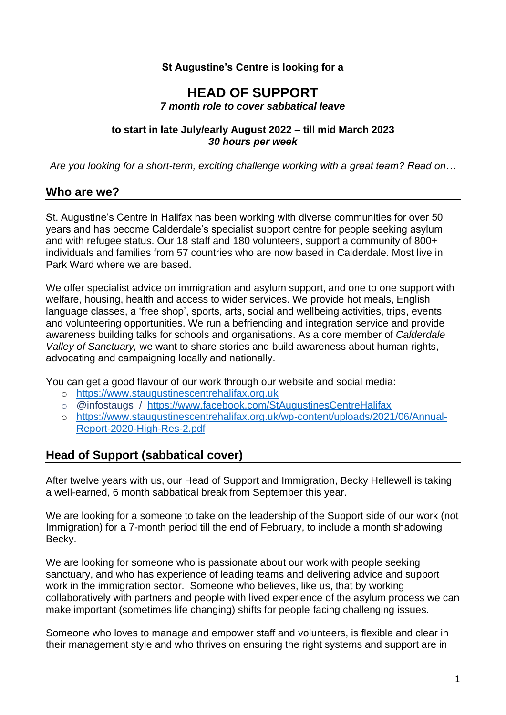#### **St Augustine's Centre is looking for a**

#### **HEAD OF SUPPORT** *7 month role to cover sabbatical leave*

#### **to start in late July/early August 2022 – till mid March 2023** *30 hours per week*

*Are you looking for a short-term, exciting challenge working with a great team? Read on…*

# **Who are we?**

St. Augustine's Centre in Halifax has been working with diverse communities for over 50 years and has become Calderdale's specialist support centre for people seeking asylum and with refugee status. Our 18 staff and 180 volunteers, support a community of 800+ individuals and families from 57 countries who are now based in Calderdale. Most live in Park Ward where we are based.

We offer specialist advice on immigration and asylum support, and one to one support with welfare, housing, health and access to wider services. We provide hot meals, English language classes, a 'free shop', sports, arts, social and wellbeing activities, trips, events and volunteering opportunities. We run a befriending and integration service and provide awareness building talks for schools and organisations. As a core member of *Calderdale Valley of Sanctuary,* we want to share stories and build awareness about human rights, advocating and campaigning locally and nationally.

You can get a good flavour of our work through our website and social media:

- o [https://www.staugustinescentrehalifax.org.uk](https://www.staugustinescentrehalifax.org.uk/)
- o @infostaugs / <https://www.facebook.com/StAugustinesCentreHalifax>
- o [https://www.staugustinescentrehalifax.org.uk/wp-content/uploads/2021/06/Annual-](https://www.staugustinescentrehalifax.org.uk/wp-content/uploads/2021/06/Annual-Report-2020-High-Res-2.pdf)[Report-2020-High-Res-2.pdf](https://www.staugustinescentrehalifax.org.uk/wp-content/uploads/2021/06/Annual-Report-2020-High-Res-2.pdf)

# **Head of Support (sabbatical cover)**

After twelve years with us, our Head of Support and Immigration, Becky Hellewell is taking a well-earned, 6 month sabbatical break from September this year.

We are looking for a someone to take on the leadership of the Support side of our work (not Immigration) for a 7-month period till the end of February, to include a month shadowing Becky.

We are looking for someone who is passionate about our work with people seeking sanctuary, and who has experience of leading teams and delivering advice and support work in the immigration sector. Someone who believes, like us, that by working collaboratively with partners and people with lived experience of the asylum process we can make important (sometimes life changing) shifts for people facing challenging issues.

Someone who loves to manage and empower staff and volunteers, is flexible and clear in their management style and who thrives on ensuring the right systems and support are in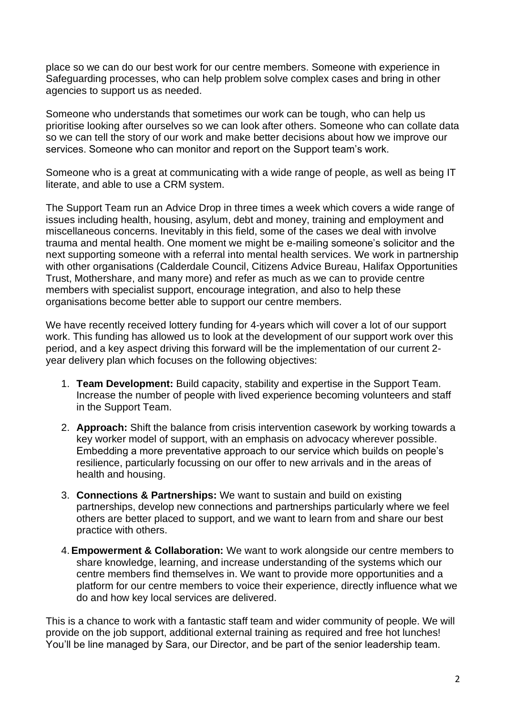place so we can do our best work for our centre members. Someone with experience in Safeguarding processes, who can help problem solve complex cases and bring in other agencies to support us as needed.

Someone who understands that sometimes our work can be tough, who can help us prioritise looking after ourselves so we can look after others. Someone who can collate data so we can tell the story of our work and make better decisions about how we improve our services. Someone who can monitor and report on the Support team's work.

Someone who is a great at communicating with a wide range of people, as well as being IT literate, and able to use a CRM system.

The Support Team run an Advice Drop in three times a week which covers a wide range of issues including health, housing, asylum, debt and money, training and employment and miscellaneous concerns. Inevitably in this field, some of the cases we deal with involve trauma and mental health. One moment we might be e-mailing someone's solicitor and the next supporting someone with a referral into mental health services. We work in partnership with other organisations (Calderdale Council, Citizens Advice Bureau, Halifax Opportunities Trust, Mothershare, and many more) and refer as much as we can to provide centre members with specialist support, encourage integration, and also to help these organisations become better able to support our centre members.

We have recently received lottery funding for 4-years which will cover a lot of our support work. This funding has allowed us to look at the development of our support work over this period, and a key aspect driving this forward will be the implementation of our current 2 year delivery plan which focuses on the following objectives:

- 1. **Team Development:** Build capacity, stability and expertise in the Support Team. Increase the number of people with lived experience becoming volunteers and staff in the Support Team.
- 2. **Approach:** Shift the balance from crisis intervention casework by working towards a key worker model of support, with an emphasis on advocacy wherever possible. Embedding a more preventative approach to our service which builds on people's resilience, particularly focussing on our offer to new arrivals and in the areas of health and housing.
- 3. **Connections & Partnerships:** We want to sustain and build on existing partnerships, develop new connections and partnerships particularly where we feel others are better placed to support, and we want to learn from and share our best practice with others.
- 4.**Empowerment & Collaboration:** We want to work alongside our centre members to share knowledge, learning, and increase understanding of the systems which our centre members find themselves in. We want to provide more opportunities and a platform for our centre members to voice their experience, directly influence what we do and how key local services are delivered.

This is a chance to work with a fantastic staff team and wider community of people. We will provide on the job support, additional external training as required and free hot lunches! You'll be line managed by Sara, our Director, and be part of the senior leadership team.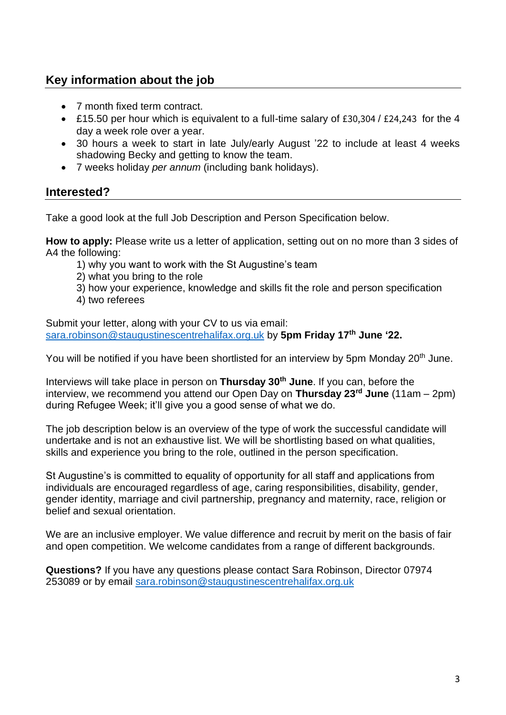# **Key information about the job**

- 7 month fixed term contract.
- £15.50 per hour which is equivalent to a full-time salary of £30,304 / £24,243 for the 4 day a week role over a year.
- 30 hours a week to start in late July/early August '22 to include at least 4 weeks shadowing Becky and getting to know the team.
- 7 weeks holiday *per annum* (including bank holidays).

# **Interested?**

Take a good look at the full Job Description and Person Specification below.

**How to apply:** Please write us a letter of application, setting out on no more than 3 sides of A4 the following:

- 1) why you want to work with the St Augustine's team
- 2) what you bring to the role
- 3) how your experience, knowledge and skills fit the role and person specification
- 4) two referees

Submit your letter, along with your CV to us via email: [sara.robinson@staugustinescentrehalifax.org.uk](mailto:sara.robinson@staugustinescentrehalifax.org.uk) by **5pm Friday 17 th June '22.**

You will be notified if you have been shortlisted for an interview by 5pm Monday 20<sup>th</sup> June.

Interviews will take place in person on **Thursday 30th June**. If you can, before the interview, we recommend you attend our Open Day on **Thursday 23rd June** (11am – 2pm) during Refugee Week; it'll give you a good sense of what we do.

The job description below is an overview of the type of work the successful candidate will undertake and is not an exhaustive list. We will be shortlisting based on what qualities, skills and experience you bring to the role, outlined in the person specification.

St Augustine's is committed to equality of opportunity for all staff and applications from individuals are encouraged regardless of age, caring responsibilities, disability, gender, gender identity, marriage and civil partnership, pregnancy and maternity, race, religion or belief and sexual orientation.

We are an inclusive employer. We value difference and recruit by merit on the basis of fair and open competition. We welcome candidates from a range of different backgrounds.

**Questions?** If you have any questions please contact Sara Robinson, Director 07974 253089 or by email [sara.robinson@staugustinescentrehalifax.org.uk](mailto:sara.robinson@staugustinescentrehalifax.org.uk)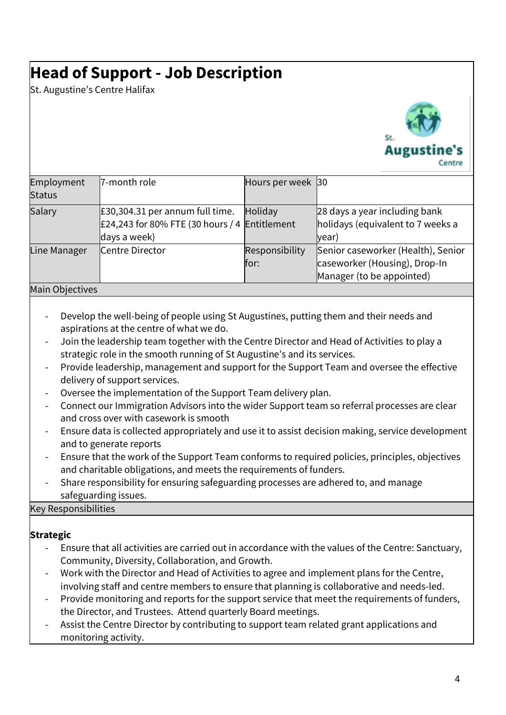# **Head of Support - Job Description**

St. Augustine's Centre Halifax



| Employment<br><b>Status</b> | 7-month role                                                                                       | Hours per week 30      |                                                                                                  |
|-----------------------------|----------------------------------------------------------------------------------------------------|------------------------|--------------------------------------------------------------------------------------------------|
| Salary                      | $E30,304.31$ per annum full time.<br>£24,243 for 80% FTE (30 hours / 4 Entitlement<br>days a week) | Holiday                | 28 days a year including bank<br>holidays (equivalent to 7 weeks a<br>(year                      |
| Line Manager                | Centre Director                                                                                    | Responsibility<br>for: | Senior caseworker (Health), Senior<br>caseworker (Housing), Drop-In<br>Manager (to be appointed) |

#### Main Objectives

- Develop the well-being of people using St Augustines, putting them and their needs and aspirations at the centre of what we do.
- Join the leadership team together with the Centre Director and Head of Activities to play a strategic role in the smooth running of St Augustine's and its services.
- Provide leadership, management and support for the Support Team and oversee the effective delivery of support services.
- Oversee the implementation of the Support Team delivery plan.
- Connect our Immigration Advisors into the wider Support team so referral processes are clear and cross over with casework is smooth
- Ensure data is collected appropriately and use it to assist decision making, service development and to generate reports
- Ensure that the work of the Support Team conforms to required policies, principles, objectives and charitable obligations, and meets the requirements of funders.
- Share responsibility for ensuring safeguarding processes are adhered to, and manage safeguarding issues.

#### Key Responsibilities

# **Strategic**

- Ensure that all activities are carried out in accordance with the values of the Centre: Sanctuary, Community, Diversity, Collaboration, and Growth.
- Work with the Director and Head of Activities to agree and implement plans for the Centre, involving staff and centre members to ensure that planning is collaborative and needs-led.
- Provide monitoring and reports for the support service that meet the requirements of funders, the Director, and Trustees. Attend quarterly Board meetings.
- Assist the Centre Director by contributing to support team related grant applications and monitoring activity.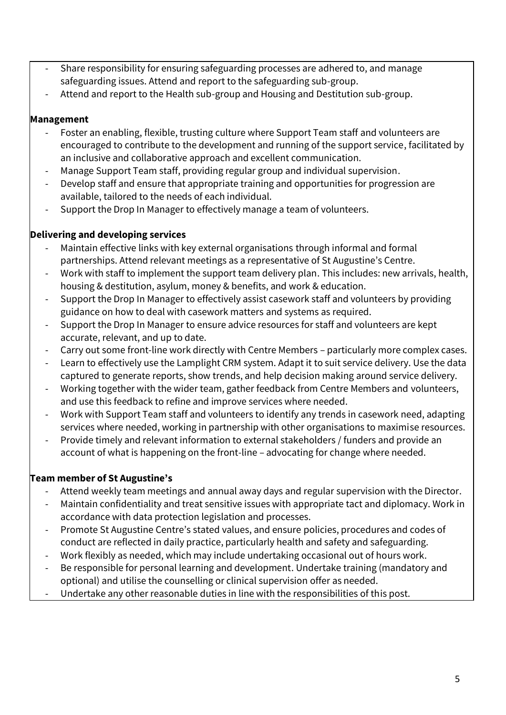- Share responsibility for ensuring safeguarding processes are adhered to, and manage safeguarding issues. Attend and report to the safeguarding sub-group.
- Attend and report to the Health sub-group and Housing and Destitution sub-group.

### **Management**

- Foster an enabling, flexible, trusting culture where Support Team staff and volunteers are encouraged to contribute to the development and running of the support service, facilitated by an inclusive and collaborative approach and excellent communication.
- Manage Support Team staff, providing regular group and individual supervision.
- Develop staff and ensure that appropriate training and opportunities for progression are available, tailored to the needs of each individual.
- Support the Drop In Manager to effectively manage a team of volunteers.

# **Delivering and developing services**

- Maintain effective links with key external organisations through informal and formal partnerships. Attend relevant meetings as a representative of St Augustine's Centre.
- Work with staff to implement the support team delivery plan. This includes: new arrivals, health, housing & destitution, asylum, money & benefits, and work & education.
- Support the Drop In Manager to effectively assist casework staff and volunteers by providing guidance on how to deal with casework matters and systems as required.
- Support the Drop In Manager to ensure advice resources for staff and volunteers are kept accurate, relevant, and up to date.
- Carry out some front-line work directly with Centre Members particularly more complex cases.
- Learn to effectively use the Lamplight CRM system. Adapt it to suit service delivery. Use the data captured to generate reports, show trends, and help decision making around service delivery.
- Working together with the wider team, gather feedback from Centre Members and volunteers, and use this feedback to refine and improve services where needed.
- Work with Support Team staff and volunteers to identify any trends in casework need, adapting services where needed, working in partnership with other organisations to maximise resources.
- Provide timely and relevant information to external stakeholders / funders and provide an account of what is happening on the front-line – advocating for change where needed.

# **Team member of St Augustine's**

- Attend weekly team meetings and annual away days and regular supervision with the Director.
- Maintain confidentiality and treat sensitive issues with appropriate tact and diplomacy. Work in accordance with data protection legislation and processes.
- Promote St Augustine Centre's stated values, and ensure policies, procedures and codes of conduct are reflected in daily practice, particularly health and safety and safeguarding.
- Work flexibly as needed, which may include undertaking occasional out of hours work.
- Be responsible for personal learning and development. Undertake training (mandatory and optional) and utilise the counselling or clinical supervision offer as needed.
- Undertake any other reasonable duties in line with the responsibilities of this post.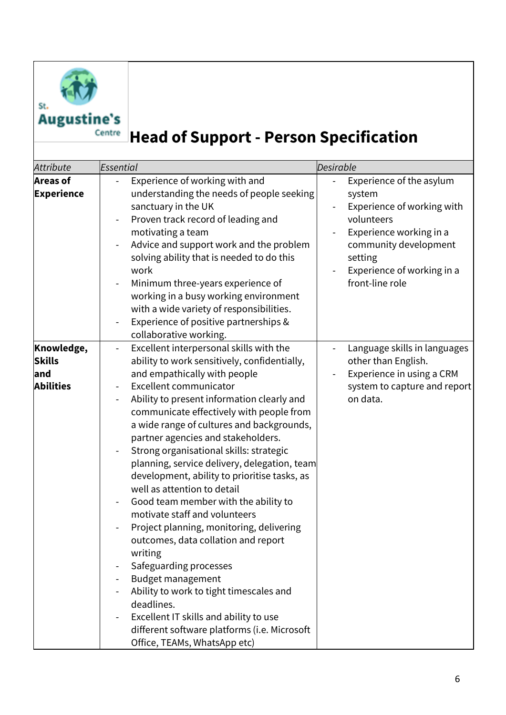

St.

# **Augustine's Head of Support - Person Specification**

| <b>Attribute</b>                                       | Essential                                                                                                                                                                                                                                                                                                                                                                                                                                                                                                                                                                                                                                                                                                                                                                                                                                                                                                                                                   | Desirable                                                                                                                                                                                      |
|--------------------------------------------------------|-------------------------------------------------------------------------------------------------------------------------------------------------------------------------------------------------------------------------------------------------------------------------------------------------------------------------------------------------------------------------------------------------------------------------------------------------------------------------------------------------------------------------------------------------------------------------------------------------------------------------------------------------------------------------------------------------------------------------------------------------------------------------------------------------------------------------------------------------------------------------------------------------------------------------------------------------------------|------------------------------------------------------------------------------------------------------------------------------------------------------------------------------------------------|
| <b>Areas of</b><br><b>Experience</b>                   | Experience of working with and<br>understanding the needs of people seeking<br>sanctuary in the UK<br>Proven track record of leading and<br>motivating a team<br>Advice and support work and the problem<br>solving ability that is needed to do this<br>work<br>Minimum three-years experience of<br>working in a busy working environment<br>with a wide variety of responsibilities.<br>Experience of positive partnerships &<br>collaborative working.                                                                                                                                                                                                                                                                                                                                                                                                                                                                                                  | Experience of the asylum<br>system<br>Experience of working with<br>volunteers<br>Experience working in a<br>community development<br>setting<br>Experience of working in a<br>front-line role |
| Knowledge,<br><b>Skills</b><br>and<br><b>Abilities</b> | Excellent interpersonal skills with the<br>$\overline{\phantom{0}}$<br>ability to work sensitively, confidentially,<br>and empathically with people<br><b>Excellent communicator</b><br>Ability to present information clearly and<br>communicate effectively with people from<br>a wide range of cultures and backgrounds,<br>partner agencies and stakeholders.<br>Strong organisational skills: strategic<br>planning, service delivery, delegation, team<br>development, ability to prioritise tasks, as<br>well as attention to detail<br>Good team member with the ability to<br>motivate staff and volunteers<br>Project planning, monitoring, delivering<br>outcomes, data collation and report<br>writing<br>Safeguarding processes<br><b>Budget management</b><br>Ability to work to tight timescales and<br>deadlines.<br>Excellent IT skills and ability to use<br>different software platforms (i.e. Microsoft<br>Office, TEAMs, WhatsApp etc) | Language skills in languages<br>other than English.<br>Experience in using a CRM<br>system to capture and report<br>on data.                                                                   |